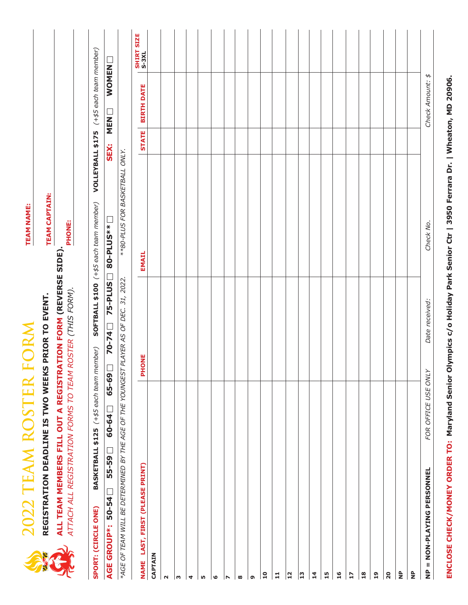|                                 |                                 | 2022 TEAM ROSTER FORM                                     |                                                                                                                                                                                          | <b>TEAM NAME:</b>                      |                  |                            |                     |
|---------------------------------|---------------------------------|-----------------------------------------------------------|------------------------------------------------------------------------------------------------------------------------------------------------------------------------------------------|----------------------------------------|------------------|----------------------------|---------------------|
|                                 |                                 | REGISTRATION DEADLINE IS TWO WEEKS                        |                                                                                                                                                                                          | <b>TEAM CAPTAIN:</b>                   |                  |                            |                     |
|                                 |                                 | ATTACH ALL REGISTRATION FORMS TO TEAM ROSTER (THIS FORM). | <b>REGISTRATION DEADLINE IS TWO WEEKS PRIOR TO EVENT.<br/>ALL TEAM MEMBERS FILL OUT A REGISTRATION FORM (REVERSE SIDE)<br/>ATTACH ALL REGISTRATION FORMS TO TEAM ROSTER (THIS FORM).</b> | PHONE:                                 |                  |                            |                     |
| SPORT: (CIRCLE ONE)             |                                 | BASKETBALL \$125 (+\$5 each team member)                  |                                                                                                                                                                                          | SOFTBALL \$100 (+\$5 each team member) | VOLLEYBALL \$175 | (+\$5 each team member)    |                     |
| AGE GROUP*:                     | $50 - 54$                       | 65-69<br>$60 - 64$<br>55-59                               | 75-PLUS<br>$70 - 74$                                                                                                                                                                     | 80-PLUS**                              | <b>SEX:</b>      | <b>WOMEN</b><br><b>NEN</b> |                     |
|                                 |                                 |                                                           | *AGE OF TEAM WILL BE DETERMINED BY THE AGE OF THE YOUNGEST PLAYER AS OF DEC. 31, 2022.                                                                                                   | **80-PLUS FOR BASKETBALL ONLY.         |                  |                            |                     |
|                                 | NAME LAST, FIRST (PLEASE PRINT) |                                                           | <b>PHONE</b>                                                                                                                                                                             | EMAIL                                  | <b>STATE</b>     | <b>BIRTH DATE</b>          | SHIRT SIZE<br>S-3XL |
| CAPTAIN                         |                                 |                                                           |                                                                                                                                                                                          |                                        |                  |                            |                     |
| Σ                               |                                 |                                                           |                                                                                                                                                                                          |                                        |                  |                            |                     |
| w                               |                                 |                                                           |                                                                                                                                                                                          |                                        |                  |                            |                     |
| 4                               |                                 |                                                           |                                                                                                                                                                                          |                                        |                  |                            |                     |
| rU)                             |                                 |                                                           |                                                                                                                                                                                          |                                        |                  |                            |                     |
| ဖ                               |                                 |                                                           |                                                                                                                                                                                          |                                        |                  |                            |                     |
| N                               |                                 |                                                           |                                                                                                                                                                                          |                                        |                  |                            |                     |
| ထ                               |                                 |                                                           |                                                                                                                                                                                          |                                        |                  |                            |                     |
| G                               |                                 |                                                           |                                                                                                                                                                                          |                                        |                  |                            |                     |
| $\overline{10}$                 |                                 |                                                           |                                                                                                                                                                                          |                                        |                  |                            |                     |
| $\mathbf{11}$                   |                                 |                                                           |                                                                                                                                                                                          |                                        |                  |                            |                     |
| $\mathbf{r}$                    |                                 |                                                           |                                                                                                                                                                                          |                                        |                  |                            |                     |
| <u> ຕ</u>                       |                                 |                                                           |                                                                                                                                                                                          |                                        |                  |                            |                     |
| $\overline{1}$                  |                                 |                                                           |                                                                                                                                                                                          |                                        |                  |                            |                     |
| 15                              |                                 |                                                           |                                                                                                                                                                                          |                                        |                  |                            |                     |
| 16                              |                                 |                                                           |                                                                                                                                                                                          |                                        |                  |                            |                     |
| $\overline{17}$                 |                                 |                                                           |                                                                                                                                                                                          |                                        |                  |                            |                     |
| $\frac{8}{18}$                  |                                 |                                                           |                                                                                                                                                                                          |                                        |                  |                            |                     |
| 19                              |                                 |                                                           |                                                                                                                                                                                          |                                        |                  |                            |                     |
| 20                              |                                 |                                                           |                                                                                                                                                                                          |                                        |                  |                            |                     |
| $\frac{\mathsf{p}}{\mathsf{z}}$ |                                 |                                                           |                                                                                                                                                                                          |                                        |                  |                            |                     |
| $\frac{p}{Z}$                   |                                 |                                                           |                                                                                                                                                                                          |                                        |                  |                            |                     |
|                                 | NP = NON-PLAYING PERSONNEL      | FOR OFFICE USE ONLY                                       | Date received:                                                                                                                                                                           | Check No.                              |                  | Check Amount: \$           |                     |
|                                 |                                 |                                                           |                                                                                                                                                                                          |                                        |                  |                            |                     |

ENCLOSE CHECK/MONEY ORDER TO: Maryland Senior Olympics c/o Holiday Park Senior Ctr | 3950 Ferrara Dr. | Wheaton, MD 20906. **ENCLOSE CHECK/MONEY ORDER TO: Maryland Senior Olympics c/o Holiday Park Senior Ctr | 3950 Ferrara Dr. | Wheaton, MD 20906.**